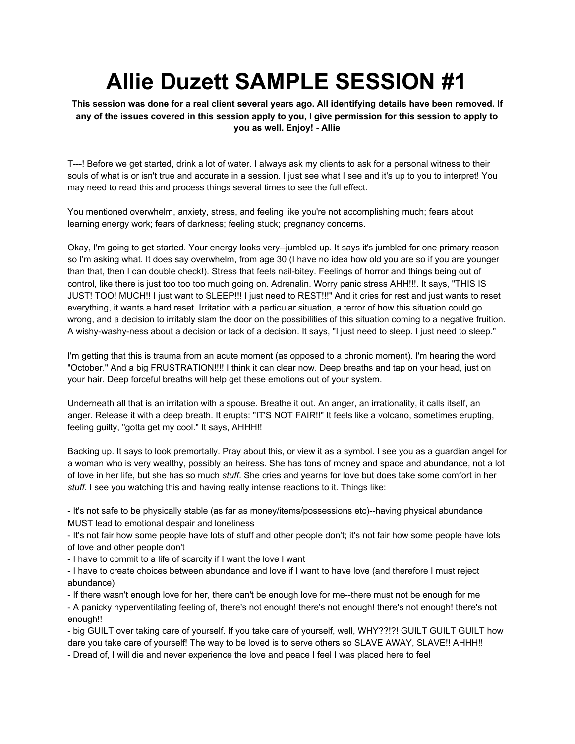## **Allie Duzett SAMPLE SESSION #1**

This session was done for a real client several years ago. All identifying details have been removed. If any of the issues covered in this session apply to you, I give permission for this session to apply to **you as well. Enjoy! - Allie**

T---! Before we get started, drink a lot of water. I always ask my clients to ask for a personal witness to their souls of what is or isn't true and accurate in a session. I just see what I see and it's up to you to interpret! You may need to read this and process things several times to see the full effect.

You mentioned overwhelm, anxiety, stress, and feeling like you're not accomplishing much; fears about learning energy work; fears of darkness; feeling stuck; pregnancy concerns.

Okay, I'm going to get started. Your energy looks very--jumbled up. It says it's jumbled for one primary reason so I'm asking what. It does say overwhelm, from age 30 (I have no idea how old you are so if you are younger than that, then I can double check!). Stress that feels nail-bitey. Feelings of horror and things being out of control, like there is just too too too much going on. Adrenalin. Worry panic stress AHH!!!. It says, "THIS IS JUST! TOO! MUCH!! I just want to SLEEP!!! I just need to REST!!!" And it cries for rest and just wants to reset everything, it wants a hard reset. Irritation with a particular situation, a terror of how this situation could go wrong, and a decision to irritably slam the door on the possibilities of this situation coming to a negative fruition. A wishy-washy-ness about a decision or lack of a decision. It says, "I just need to sleep. I just need to sleep."

I'm getting that this is trauma from an acute moment (as opposed to a chronic moment). I'm hearing the word "October." And a big FRUSTRATION!!!! I think it can clear now. Deep breaths and tap on your head, just on your hair. Deep forceful breaths will help get these emotions out of your system.

Underneath all that is an irritation with a spouse. Breathe it out. An anger, an irrationality, it calls itself, an anger. Release it with a deep breath. It erupts: "IT'S NOT FAIR!!" It feels like a volcano, sometimes erupting, feeling guilty, "gotta get my cool." It says, AHHH!!

Backing up. It says to look premortally. Pray about this, or view it as a symbol. I see you as a guardian angel for a woman who is very wealthy, possibly an heiress. She has tons of money and space and abundance, not a lot of love in her life, but she has so much *stuff*. She cries and yearns for love but does take some comfort in her *stuff*. I see you watching this and having really intense reactions to it. Things like:

- It's not safe to be physically stable (as far as money/items/possessions etc)--having physical abundance MUST lead to emotional despair and loneliness

- It's not fair how some people have lots of stuff and other people don't; it's not fair how some people have lots of love and other people don't

- I have to commit to a life of scarcity if I want the love I want

- I have to create choices between abundance and love if I want to have love (and therefore I must reject abundance)

- If there wasn't enough love for her, there can't be enough love for me--there must not be enough for me

- A panicky hyperventilating feeling of, there's not enough! there's not enough! there's not enough! there's not enough!!

- big GUILT over taking care of yourself. If you take care of yourself, well, WHY??!?! GUILT GUILT GUILT how dare you take care of yourself! The way to be loved is to serve others so SLAVE AWAY, SLAVE!! AHHH!!

- Dread of, I will die and never experience the love and peace I feel I was placed here to feel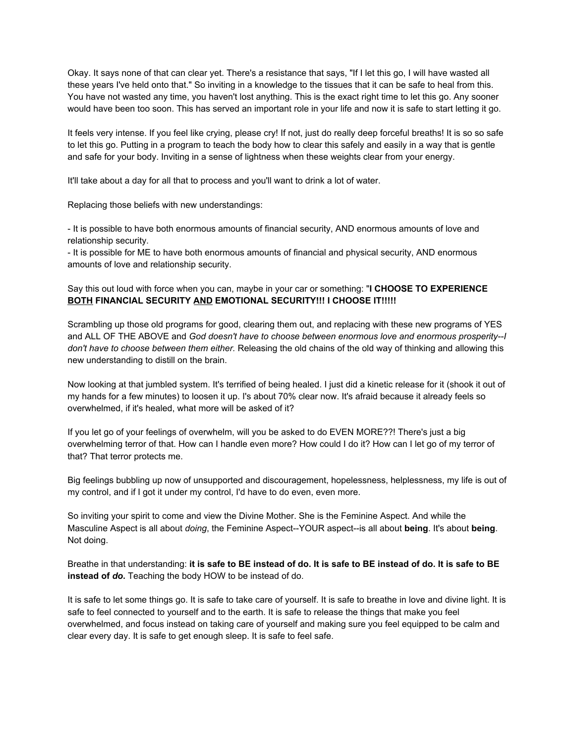Okay. It says none of that can clear yet. There's a resistance that says, "If I let this go, I will have wasted all these years I've held onto that." So inviting in a knowledge to the tissues that it can be safe to heal from this. You have not wasted any time, you haven't lost anything. This is the exact right time to let this go. Any sooner would have been too soon. This has served an important role in your life and now it is safe to start letting it go.

It feels very intense. If you feel like crying, please cry! If not, just do really deep forceful breaths! It is so so safe to let this go. Putting in a program to teach the body how to clear this safely and easily in a way that is gentle and safe for your body. Inviting in a sense of lightness when these weights clear from your energy.

It'll take about a day for all that to process and you'll want to drink a lot of water.

Replacing those beliefs with new understandings:

- It is possible to have both enormous amounts of financial security, AND enormous amounts of love and relationship security.

- It is possible for ME to have both enormous amounts of financial and physical security, AND enormous amounts of love and relationship security.

## Say this out loud with force when you can, maybe in your car or something: "**I CHOOSE TO EXPERIENCE BOTH FINANCIAL SECURITY AND EMOTIONAL SECURITY!!! I CHOOSE IT!!!!!**

Scrambling up those old programs for good, clearing them out, and replacing with these new programs of YES and ALL OF THE ABOVE and *God doesn't have to choose between enormous love and enormous prosperity--I don't have to choose between them either.* Releasing the old chains of the old way of thinking and allowing this new understanding to distill on the brain.

Now looking at that jumbled system. It's terrified of being healed. I just did a kinetic release for it (shook it out of my hands for a few minutes) to loosen it up. I's about 70% clear now. It's afraid because it already feels so overwhelmed, if it's healed, what more will be asked of it?

If you let go of your feelings of overwhelm, will you be asked to do EVEN MORE??! There's just a big overwhelming terror of that. How can I handle even more? How could I do it? How can I let go of my terror of that? That terror protects me.

Big feelings bubbling up now of unsupported and discouragement, hopelessness, helplessness, my life is out of my control, and if I got it under my control, I'd have to do even, even more.

So inviting your spirit to come and view the Divine Mother. She is the Feminine Aspect. And while the Masculine Aspect is all about *doing*, the Feminine Aspect--YOUR aspect--is all about **being**. It's about **being**. Not doing.

Breathe in that understanding: it is safe to BE instead of do. It is safe to BE instead of do. It is safe to BE **instead of** *do***.** Teaching the body HOW to be instead of do.

It is safe to let some things go. It is safe to take care of yourself. It is safe to breathe in love and divine light. It is safe to feel connected to yourself and to the earth. It is safe to release the things that make you feel overwhelmed, and focus instead on taking care of yourself and making sure you feel equipped to be calm and clear every day. It is safe to get enough sleep. It is safe to feel safe.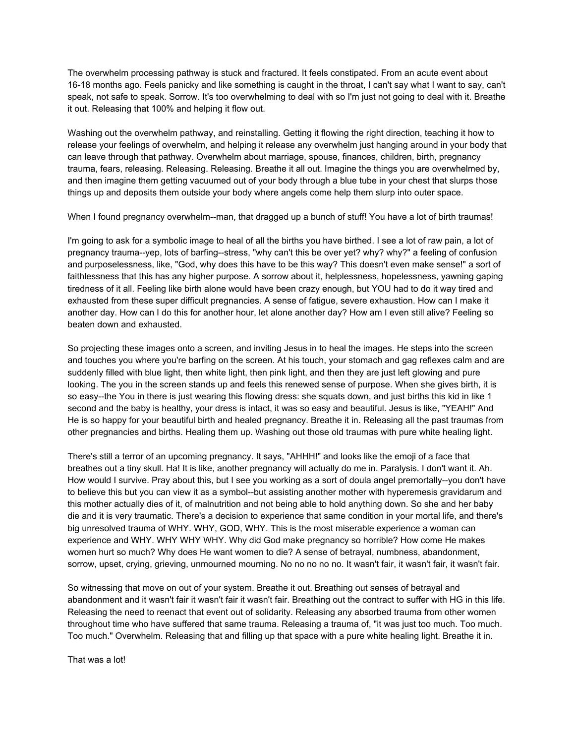The overwhelm processing pathway is stuck and fractured. It feels constipated. From an acute event about 16-18 months ago. Feels panicky and like something is caught in the throat, I can't say what I want to say, can't speak, not safe to speak. Sorrow. It's too overwhelming to deal with so I'm just not going to deal with it. Breathe it out. Releasing that 100% and helping it flow out.

Washing out the overwhelm pathway, and reinstalling. Getting it flowing the right direction, teaching it how to release your feelings of overwhelm, and helping it release any overwhelm just hanging around in your body that can leave through that pathway. Overwhelm about marriage, spouse, finances, children, birth, pregnancy trauma, fears, releasing. Releasing. Releasing. Breathe it all out. Imagine the things you are overwhelmed by, and then imagine them getting vacuumed out of your body through a blue tube in your chest that slurps those things up and deposits them outside your body where angels come help them slurp into outer space.

When I found pregnancy overwhelm--man, that dragged up a bunch of stuff! You have a lot of birth traumas!

I'm going to ask for a symbolic image to heal of all the births you have birthed. I see a lot of raw pain, a lot of pregnancy trauma--yep, lots of barfing--stress, "why can't this be over yet? why? why?" a feeling of confusion and purposelessness, like, "God, why does this have to be this way? This doesn't even make sense!" a sort of faithlessness that this has any higher purpose. A sorrow about it, helplessness, hopelessness, yawning gaping tiredness of it all. Feeling like birth alone would have been crazy enough, but YOU had to do it way tired and exhausted from these super difficult pregnancies. A sense of fatigue, severe exhaustion. How can I make it another day. How can I do this for another hour, let alone another day? How am I even still alive? Feeling so beaten down and exhausted.

So projecting these images onto a screen, and inviting Jesus in to heal the images. He steps into the screen and touches you where you're barfing on the screen. At his touch, your stomach and gag reflexes calm and are suddenly filled with blue light, then white light, then pink light, and then they are just left glowing and pure looking. The you in the screen stands up and feels this renewed sense of purpose. When she gives birth, it is so easy--the You in there is just wearing this flowing dress: she squats down, and just births this kid in like 1 second and the baby is healthy, your dress is intact, it was so easy and beautiful. Jesus is like, "YEAH!" And He is so happy for your beautiful birth and healed pregnancy. Breathe it in. Releasing all the past traumas from other pregnancies and births. Healing them up. Washing out those old traumas with pure white healing light.

There's still a terror of an upcoming pregnancy. It says, "AHHH!" and looks like the emoji of a face that breathes out a tiny skull. Ha! It is like, another pregnancy will actually do me in. Paralysis. I don't want it. Ah. How would I survive. Pray about this, but I see you working as a sort of doula angel premortally--you don't have to believe this but you can view it as a symbol--but assisting another mother with hyperemesis gravidarum and this mother actually dies of it, of malnutrition and not being able to hold anything down. So she and her baby die and it is very traumatic. There's a decision to experience that same condition in your mortal life, and there's big unresolved trauma of WHY. WHY, GOD, WHY. This is the most miserable experience a woman can experience and WHY. WHY WHY WHY. Why did God make pregnancy so horrible? How come He makes women hurt so much? Why does He want women to die? A sense of betrayal, numbness, abandonment, sorrow, upset, crying, grieving, unmourned mourning. No no no no no. It wasn't fair, it wasn't fair, it wasn't fair.

So witnessing that move on out of your system. Breathe it out. Breathing out senses of betrayal and abandonment and it wasn't fair it wasn't fair it wasn't fair. Breathing out the contract to suffer with HG in this life. Releasing the need to reenact that event out of solidarity. Releasing any absorbed trauma from other women throughout time who have suffered that same trauma. Releasing a trauma of, "it was just too much. Too much. Too much." Overwhelm. Releasing that and filling up that space with a pure white healing light. Breathe it in.

That was a lot!